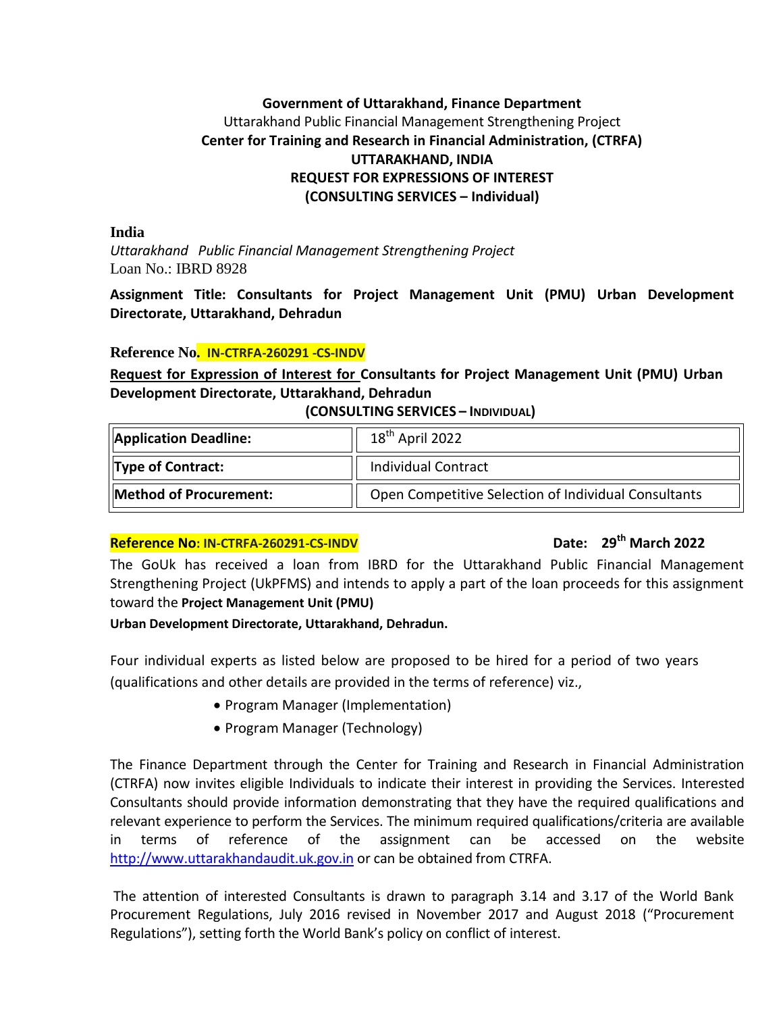# **Government of Uttarakhand, Finance Department** Uttarakhand Public Financial Management Strengthening Project **Center for Training and Research in Financial Administration, (CTRFA) UTTARAKHAND, INDIA REQUEST FOR EXPRESSIONS OF INTEREST (CONSULTING SERVICES – Individual)**

**India**

*Uttarakhand Public Financial Management Strengthening Project* Loan No.: IBRD 8928

**Assignment Title: Consultants for Project Management Unit (PMU) Urban Development Directorate, Uttarakhand, Dehradun**

### **Reference No. IN-CTRFA-260291 -CS-INDV**

# **Request for Expression of Interest for Consultants for Project Management Unit (PMU) Urban Development Directorate, Uttarakhand, Dehradun**

#### **(CONSULTING SERVICES – INDIVIDUAL)**

| <b>Application Deadline:</b> | $18th$ April 2022                                    |
|------------------------------|------------------------------------------------------|
| <b>Type of Contract:</b>     | <b>Individual Contract</b>                           |
| Method of Procurement:       | Open Competitive Selection of Individual Consultants |

# **Reference No: IN-CTRFA-260291-CS-INDV Date: 29th March 2022**

The GoUk has received a loan from IBRD for the Uttarakhand Public Financial Management Strengthening Project (UkPFMS) and intends to apply a part of the loan proceeds for this assignment toward the **Project Management Unit (PMU)**

### **Urban Development Directorate, Uttarakhand, Dehradun.**

Four individual experts as listed below are proposed to be hired for a period of two years (qualifications and other details are provided in the terms of reference) viz.,

- Program Manager (Implementation)
- Program Manager (Technology)

The Finance Department through the Center for Training and Research in Financial Administration (CTRFA) now invites eligible Individuals to indicate their interest in providing the Services. Interested Consultants should provide information demonstrating that they have the required qualifications and relevant experience to perform the Services. The minimum required qualifications/criteria are available in terms of reference of the assignment can be accessed on the website [http://www.uttarakhandaudit.uk.gov.in](http://www.uttarakhandaudit.uk.gov.in/) or can be obtained from CTRFA.

The attention of interested Consultants is drawn to paragraph 3.14 and 3.17 of the World Bank Procurement Regulations, July 2016 revised in November 2017 and August 2018 ("Procurement Regulations"), setting forth the World Bank's policy on conflict of interest.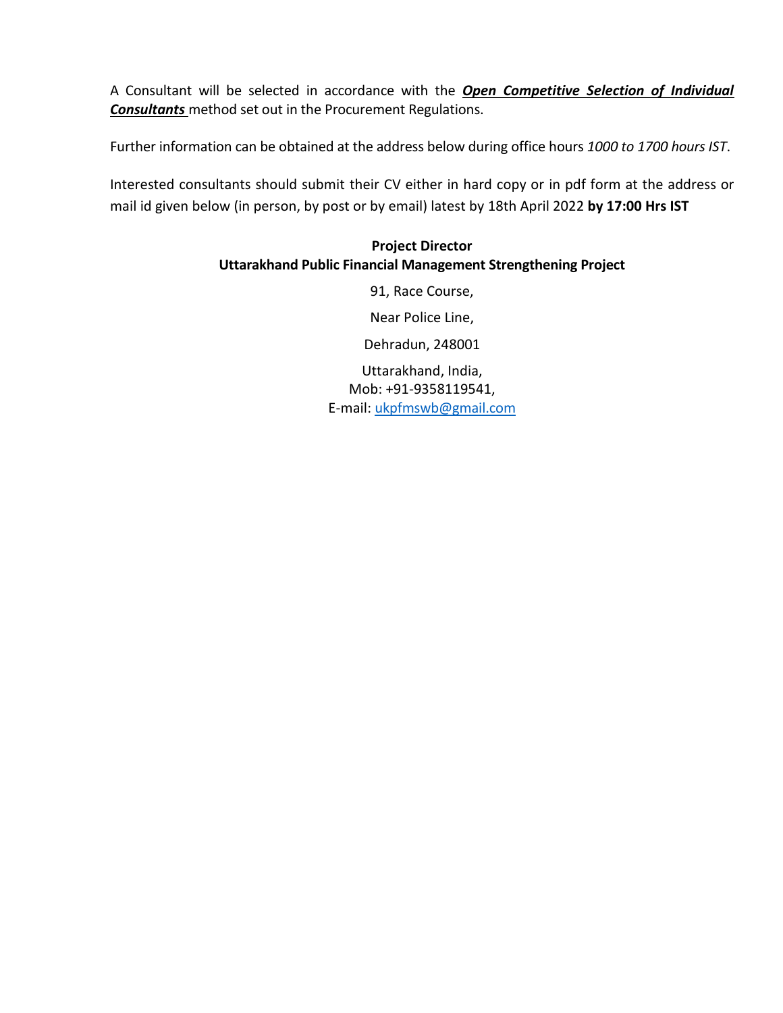A Consultant will be selected in accordance with the *Open Competitive Selection of Individual Consultants* method set out in the Procurement Regulations.

Further information can be obtained at the address below during office hours *1000 to 1700 hours IST*.

Interested consultants should submit their CV either in hard copy or in pdf form at the address or mail id given below (in person, by post or by email) latest by 18th April 2022 **by 17:00 Hrs IST**

# **Project Director Uttarakhand Public Financial Management Strengthening Project**

91, Race Course,

Near Police Line,

Dehradun, 248001

E-mail: ukpfmswb@gmail.com Uttarakhand, India, Mob: +91-9358119541,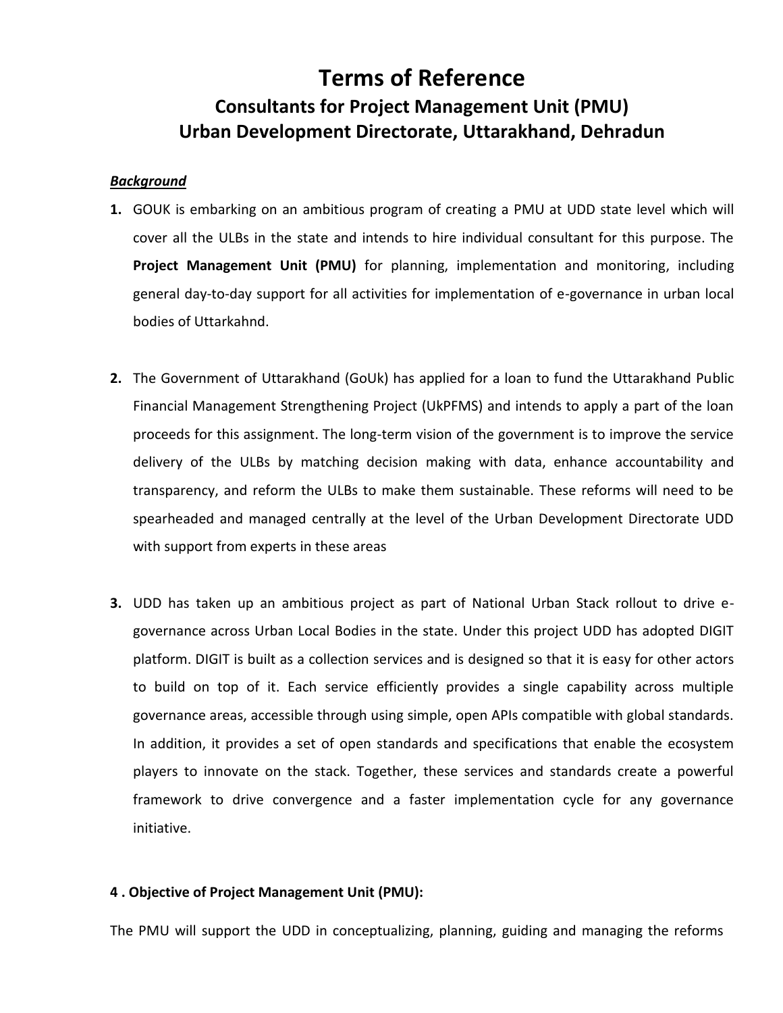# **Terms of Reference Consultants for Project Management Unit (PMU) Urban Development Directorate, Uttarakhand, Dehradun**

#### *Background*

- **1.** GOUK is embarking on an ambitious program of creating a PMU at UDD state level which will cover all the ULBs in the state and intends to hire individual consultant for this purpose. The **Project Management Unit (PMU)** for planning, implementation and monitoring, including general day-to-day support for all activities for implementation of e-governance in urban local bodies of Uttarkahnd.
- **2.** The Government of Uttarakhand (GoUk) has applied for a loan to fund the Uttarakhand Public Financial Management Strengthening Project (UkPFMS) and intends to apply a part of the loan proceeds for this assignment. The long-term vision of the government is to improve the service delivery of the ULBs by matching decision making with data, enhance accountability and transparency, and reform the ULBs to make them sustainable. These reforms will need to be spearheaded and managed centrally at the level of the Urban Development Directorate UDD with support from experts in these areas
- **3.** UDD has taken up an ambitious project as part of National Urban Stack rollout to drive egovernance across Urban Local Bodies in the state. Under this project UDD has adopted DIGIT platform. DIGIT is built as a collection services and is designed so that it is easy for other actors to build on top of it. Each service efficiently provides a single capability across multiple governance areas, accessible through using simple, open APIs compatible with global standards. In addition, it provides a set of open standards and specifications that enable the ecosystem players to innovate on the stack. Together, these services and standards create a powerful framework to drive convergence and a faster implementation cycle for any governance initiative.

### **4 . Objective of Project Management Unit (PMU):**

The PMU will support the UDD in conceptualizing, planning, guiding and managing the reforms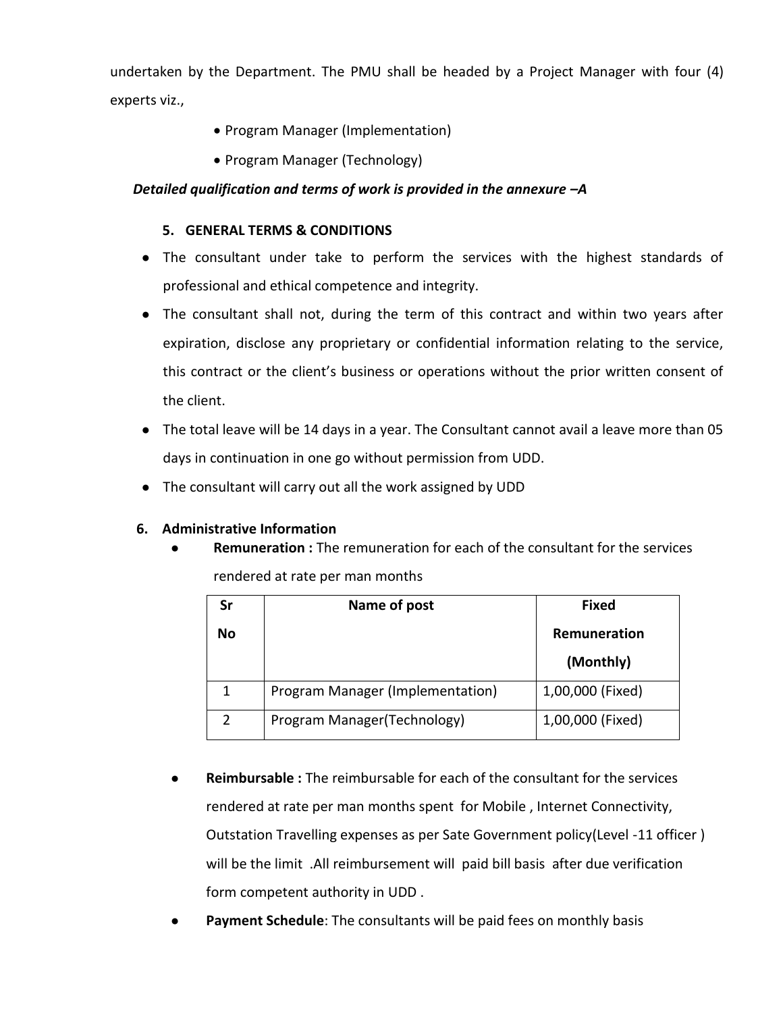undertaken by the Department. The PMU shall be headed by a Project Manager with four (4) experts viz.,

- Program Manager (Implementation)
- Program Manager (Technology)

# *Detailed qualification and terms of work is provided in the annexure –A*

# **5. GENERAL TERMS & CONDITIONS**

- The consultant under take to perform the services with the highest standards of professional and ethical competence and integrity.
- The consultant shall not, during the term of this contract and within two years after expiration, disclose any proprietary or confidential information relating to the service, this contract or the client's business or operations without the prior written consent of the client.
- The total leave will be 14 days in a year. The Consultant cannot avail a leave more than 05 days in continuation in one go without permission from UDD.
- The consultant will carry out all the work assigned by UDD

### **6. Administrative Information**

**Remuneration :** The remuneration for each of the consultant for the services rendered at rate per man months

|    | Name of post                     | <b>Fixed</b>              |  |  |
|----|----------------------------------|---------------------------|--|--|
| No |                                  | Remuneration<br>(Monthly) |  |  |
|    | Program Manager (Implementation) | 1,00,000 (Fixed)          |  |  |
|    | Program Manager (Technology)     | 1,00,000 (Fixed)          |  |  |

- **Reimbursable :** The reimbursable for each of the consultant for the services rendered at rate per man months spent for Mobile , Internet Connectivity, Outstation Travelling expenses as per Sate Government policy(Level -11 officer ) will be the limit .All reimbursement will paid bill basis after due verification form competent authority in UDD .
- Payment Schedule: The consultants will be paid fees on monthly basis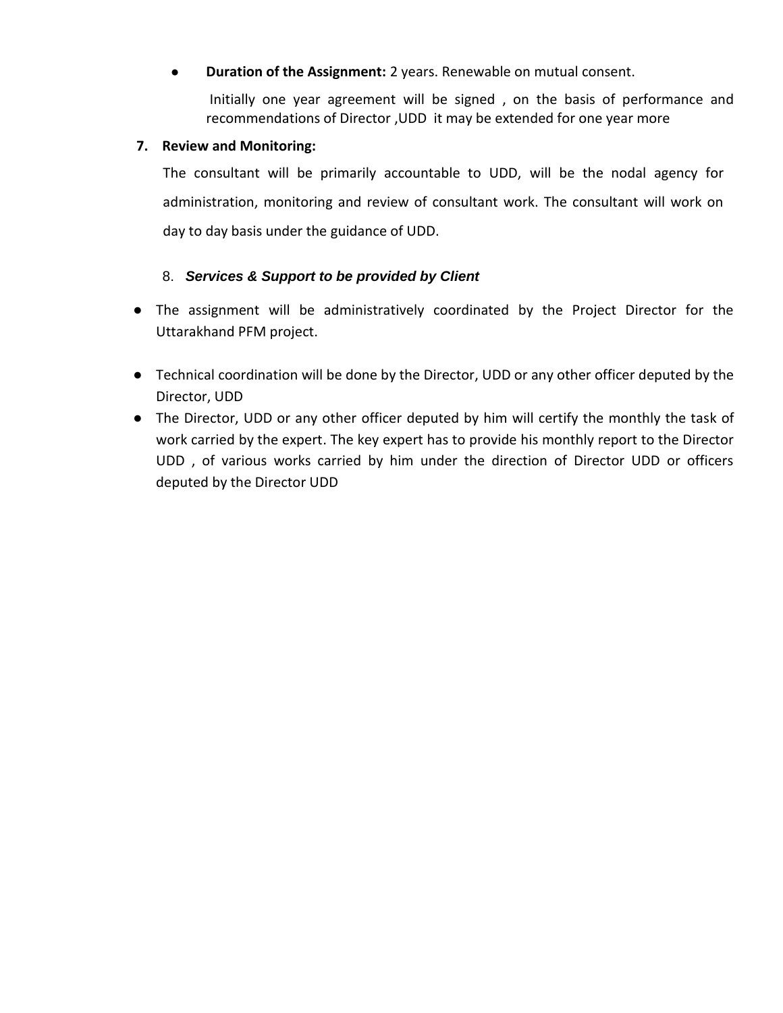# ● **Duration of the Assignment:** 2 years. Renewable on mutual consent.

Initially one year agreement will be signed , on the basis of performance and recommendations of Director ,UDD it may be extended for one year more

### **7. Review and Monitoring:**

The consultant will be primarily accountable to UDD, will be the nodal agency for administration, monitoring and review of consultant work. The consultant will work on day to day basis under the guidance of UDD.

# 8. *Services & Support to be provided by Client*

- The assignment will be administratively coordinated by the Project Director for the Uttarakhand PFM project.
- Technical coordination will be done by the Director, UDD or any other officer deputed by the Director, UDD
- The Director, UDD or any other officer deputed by him will certify the monthly the task of work carried by the expert. The key expert has to provide his monthly report to the Director UDD , of various works carried by him under the direction of Director UDD or officers deputed by the Director UDD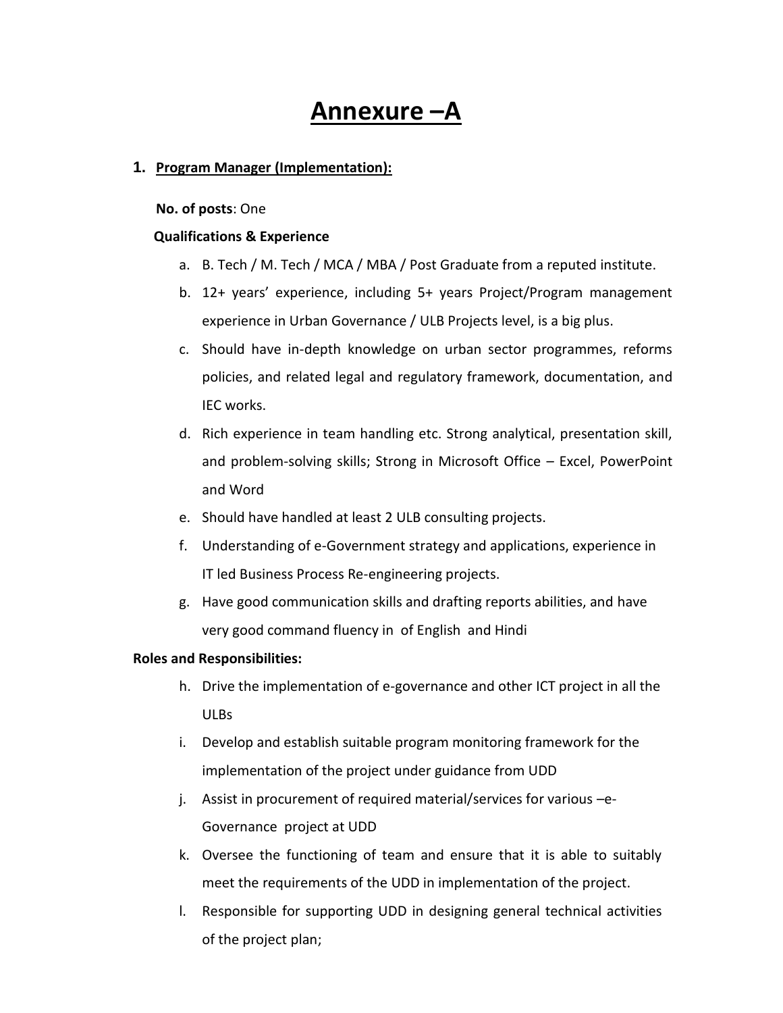# **Annexure –A**

#### **1. Program Manager (Implementation):**

#### **No. of posts**: One

#### **Qualifications & Experience**

- a. B. Tech / M. Tech / MCA / MBA / Post Graduate from a reputed institute.
- b. 12+ years' experience, including 5+ years Project/Program management experience in Urban Governance / ULB Projects level, is a big plus.
- c. Should have in-depth knowledge on urban sector programmes, reforms policies, and related legal and regulatory framework, documentation, and IEC works.
- d. Rich experience in team handling etc. Strong analytical, presentation skill, and problem-solving skills; Strong in Microsoft Office – Excel, PowerPoint and Word
- e. Should have handled at least 2 ULB consulting projects.
- f. Understanding of e-Government strategy and applications, experience in IT led Business Process Re-engineering projects.
- g. Have good communication skills and drafting reports abilities, and have very good command fluency in of English and Hindi

#### **Roles and Responsibilities:**

- h. Drive the implementation of e-governance and other ICT project in all the ULBs
- i. Develop and establish suitable program monitoring framework for the implementation of the project under guidance from UDD
- j. Assist in procurement of required material/services for various –e-Governance project at UDD
- k. Oversee the functioning of team and ensure that it is able to suitably meet the requirements of the UDD in implementation of the project.
- l. Responsible for supporting UDD in designing general technical activities of the project plan;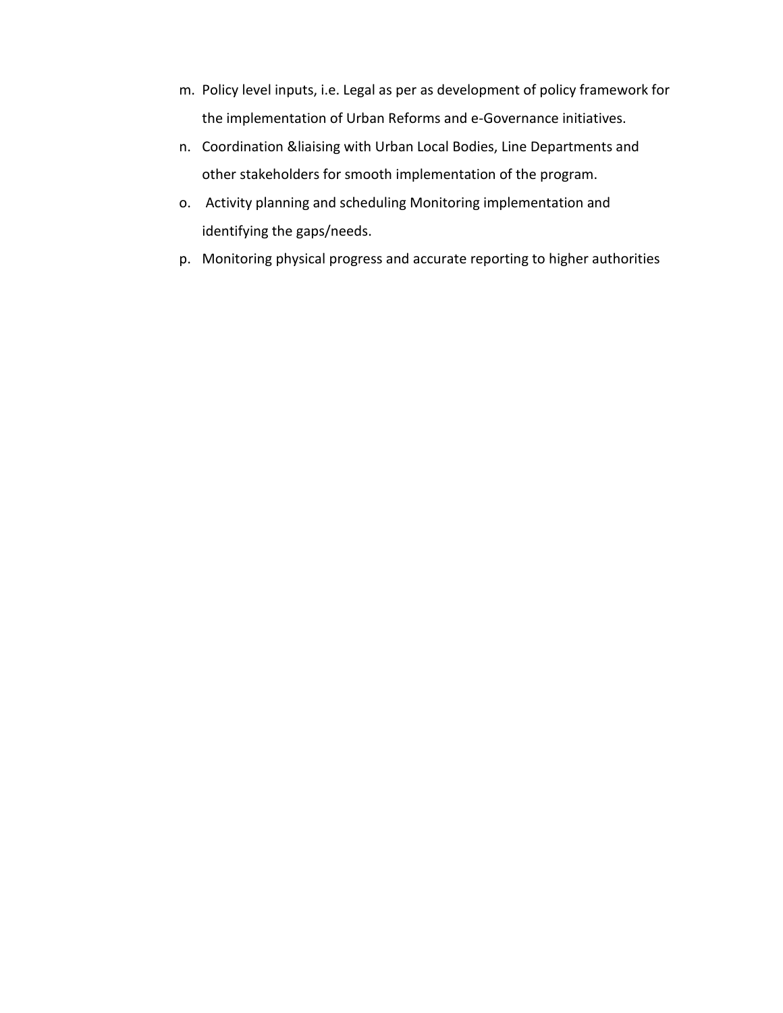- m. Policy level inputs, i.e. Legal as per as development of policy framework for the implementation of Urban Reforms and e-Governance initiatives.
- n. Coordination &liaising with Urban Local Bodies, Line Departments and other stakeholders for smooth implementation of the program.
- o. Activity planning and scheduling Monitoring implementation and identifying the gaps/needs.
- p. Monitoring physical progress and accurate reporting to higher authorities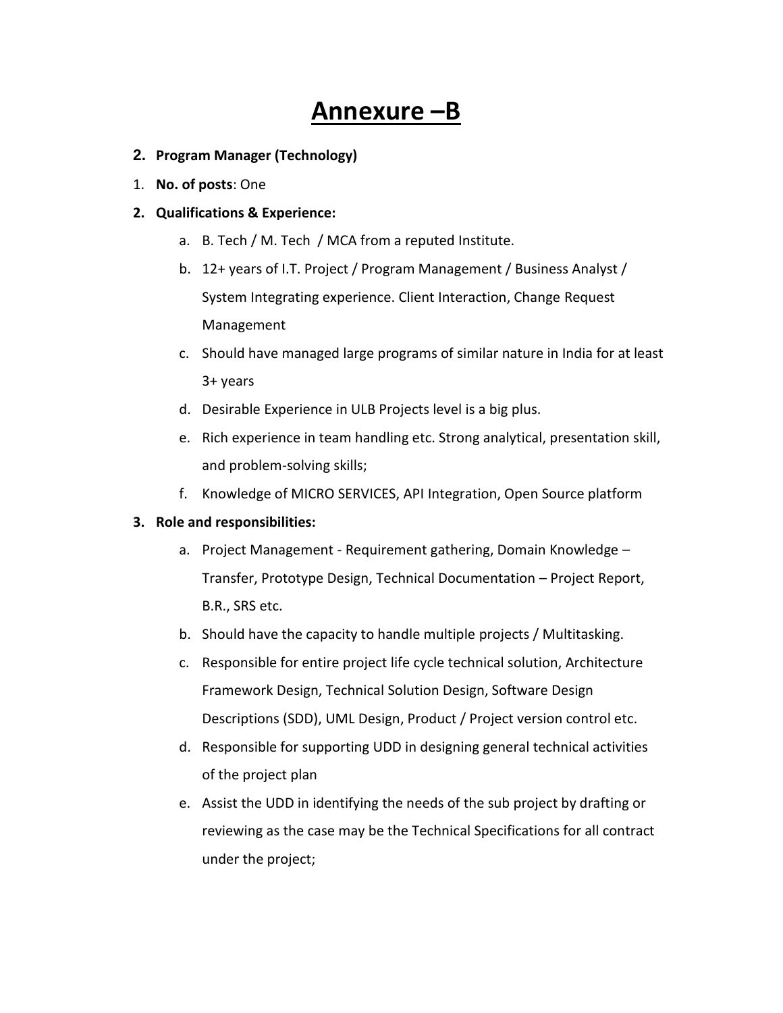# **Annexure –B**

- **2. Program Manager (Technology)**
- 1. **No. of posts**: One

#### **2. Qualifications & Experience:**

- a. B. Tech / M. Tech / MCA from a reputed Institute.
- b. 12+ years of I.T. Project / Program Management / Business Analyst / System Integrating experience. Client Interaction, Change Request Management
- c. Should have managed large programs of similar nature in India for at least 3+ years
- d. Desirable Experience in ULB Projects level is a big plus.
- e. Rich experience in team handling etc. Strong analytical, presentation skill, and problem-solving skills;
- f. Knowledge of MICRO SERVICES, API Integration, Open Source platform

#### **3. Role and responsibilities:**

- a. Project Management Requirement gathering, Domain Knowledge Transfer, Prototype Design, Technical Documentation – Project Report, B.R., SRS etc.
- b. Should have the capacity to handle multiple projects / Multitasking.
- c. Responsible for entire project life cycle technical solution, Architecture Framework Design, Technical Solution Design, Software Design Descriptions (SDD), UML Design, Product / Project version control etc.
- d. Responsible for supporting UDD in designing general technical activities of the project plan
- e. Assist the UDD in identifying the needs of the sub project by drafting or reviewing as the case may be the Technical Specifications for all contract under the project;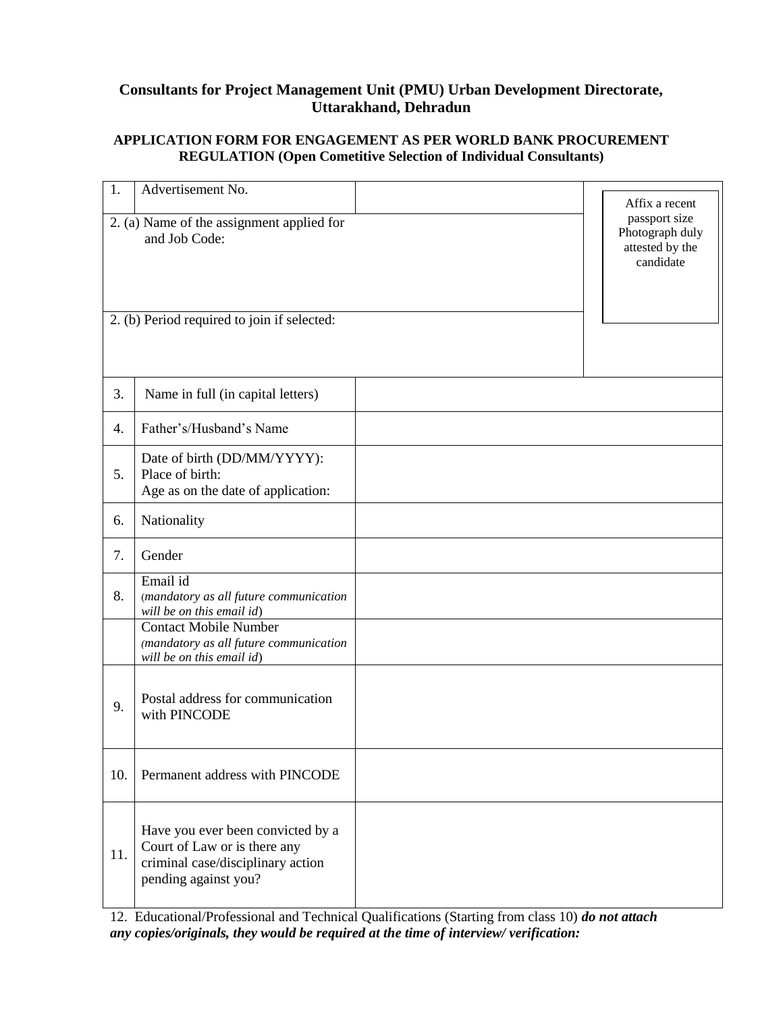# **Consultants for Project Management Unit (PMU) Urban Development Directorate, Uttarakhand, Dehradun**

### **APPLICATION FORM FOR ENGAGEMENT AS PER WORLD BANK PROCUREMENT REGULATION (Open Cometitive Selection of Individual Consultants)**

| 1.  | Advertisement No.                                                                                                                                                                      | Affix a recent                                                   |
|-----|----------------------------------------------------------------------------------------------------------------------------------------------------------------------------------------|------------------------------------------------------------------|
|     | 2. (a) Name of the assignment applied for<br>and Job Code:                                                                                                                             | passport size<br>Photograph duly<br>attested by the<br>candidate |
|     | 2. (b) Period required to join if selected:                                                                                                                                            |                                                                  |
| 3.  | Name in full (in capital letters)                                                                                                                                                      |                                                                  |
| 4.  | Father's/Husband's Name                                                                                                                                                                |                                                                  |
| 5.  | Date of birth (DD/MM/YYYY):<br>Place of birth:<br>Age as on the date of application:                                                                                                   |                                                                  |
| 6.  | Nationality                                                                                                                                                                            |                                                                  |
| 7.  | Gender                                                                                                                                                                                 |                                                                  |
| 8.  | Email id<br>(mandatory as all future communication<br>will be on this email id)<br><b>Contact Mobile Number</b><br>(mandatory as all future communication<br>will be on this email id) |                                                                  |
| 9.  | Postal address for communication<br>with PINCODE                                                                                                                                       |                                                                  |
| 10. | Permanent address with PINCODE                                                                                                                                                         |                                                                  |
| 11. | Have you ever been convicted by a<br>Court of Law or is there any<br>criminal case/disciplinary action<br>pending against you?                                                         |                                                                  |

12. Educational/Professional and Technical Qualifications (Starting from class 10) *do not attach any copies/originals, they would be required at the time of interview/ verification:*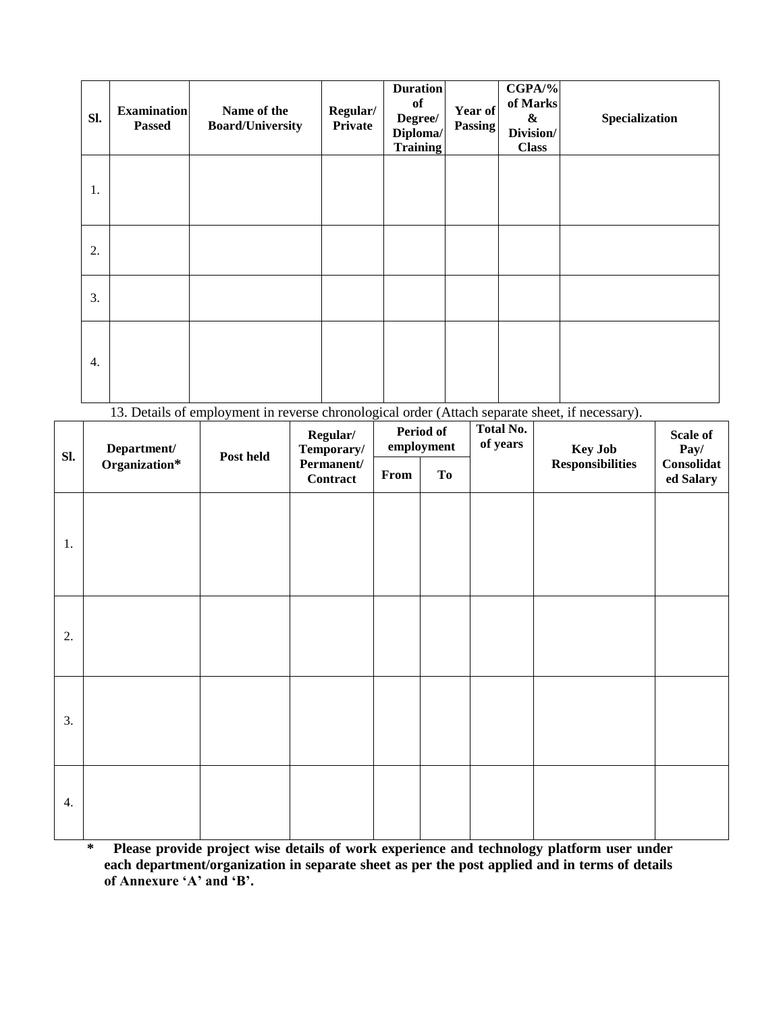| Sl. | <b>Examination</b><br><b>Passed</b> | Name of the<br><b>Board/University</b> | Regular/<br>Private | <b>Duration</b><br>of<br>Degree/<br>Diploma/<br>Training | Year of<br>Passing | $CGPA/\%$<br>of Marks<br>$\boldsymbol{\&}$<br>Division/<br><b>Class</b> | Specialization |
|-----|-------------------------------------|----------------------------------------|---------------------|----------------------------------------------------------|--------------------|-------------------------------------------------------------------------|----------------|
| 1.  |                                     |                                        |                     |                                                          |                    |                                                                         |                |
| 2.  |                                     |                                        |                     |                                                          |                    |                                                                         |                |
| 3.  |                                     |                                        |                     |                                                          |                    |                                                                         |                |
| 4.  |                                     |                                        |                     |                                                          |                    |                                                                         |                |

13. Details of employment in reverse chronological order (Attach separate sheet, if necessary).

| Sl.              | Department/<br>Organization* | Post held | Regular/<br>Temporary/<br>Permanent/<br>Contract | <b>Period of</b><br>employment |    | <b>Total No.</b><br>of years | <b>Key Job</b>          | Scale of<br>Pay/        |
|------------------|------------------------------|-----------|--------------------------------------------------|--------------------------------|----|------------------------------|-------------------------|-------------------------|
|                  |                              |           |                                                  | From                           | To |                              | <b>Responsibilities</b> | Consolidat<br>ed Salary |
| 1.               |                              |           |                                                  |                                |    |                              |                         |                         |
| 2.               |                              |           |                                                  |                                |    |                              |                         |                         |
| 3.               |                              |           |                                                  |                                |    |                              |                         |                         |
| $\overline{4}$ . |                              |           |                                                  |                                |    |                              |                         |                         |

**\* Please provide project wise details of work experience and technology platform user under each department/organization in separate sheet as per the post applied and in terms of details of Annexure 'A' and 'B'.**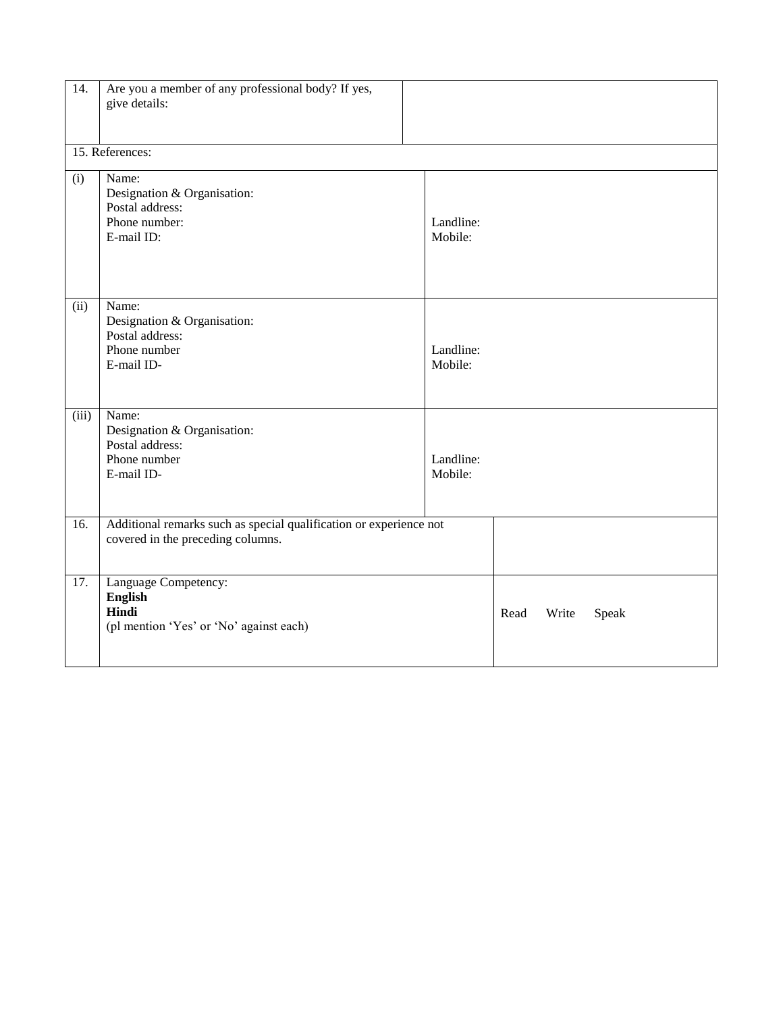| 14.   | Are you a member of any professional body? If yes,<br>give details:                                     |                      |      |       |       |  |
|-------|---------------------------------------------------------------------------------------------------------|----------------------|------|-------|-------|--|
|       | 15. References:                                                                                         |                      |      |       |       |  |
| (i)   | Name:<br>Designation & Organisation:<br>Postal address:<br>Phone number:<br>E-mail ID:                  | Landline:<br>Mobile: |      |       |       |  |
| (ii)  | Name:<br>Designation & Organisation:<br>Postal address:<br>Phone number<br>E-mail ID-                   | Landline:<br>Mobile: |      |       |       |  |
| (iii) | Name:<br>Designation & Organisation:<br>Postal address:<br>Phone number<br>E-mail ID-                   | Landline:<br>Mobile: |      |       |       |  |
| 16.   | Additional remarks such as special qualification or experience not<br>covered in the preceding columns. |                      |      |       |       |  |
| 17.   | Language Competency:<br>English<br>Hindi<br>(pl mention 'Yes' or 'No' against each)                     |                      | Read | Write | Speak |  |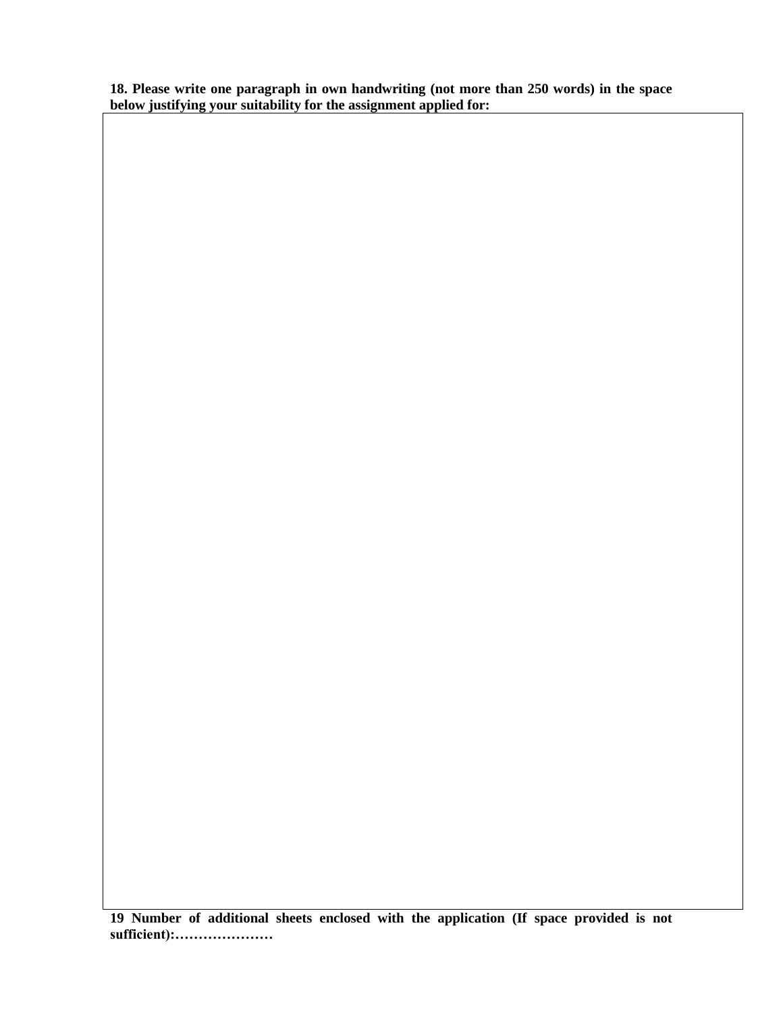**18. Please write one paragraph in own handwriting (not more than 250 words) in the space below justifying your suitability for the assignment applied for:**

**19 Number of additional sheets enclosed with the application (If space provided is not sufficient):…………………**